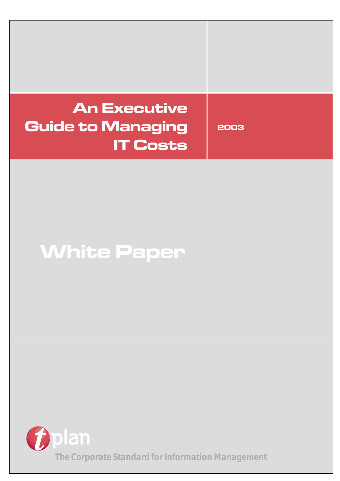# **An Executive Guide to Managing IT Costs**

**2003**

# **White Paper**

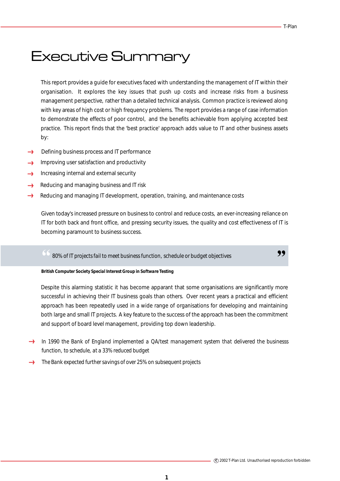,,

# Executive Summary

This report provides a guide for executives faced with understanding the management of IT within their organisation. It explores the key issues that push up costs and increase risks from a business management perspective, rather than a detailed technical analysis. Common practice is reviewed along with key areas of high cost or high frequency problems. The report provides a range of case information to demonstrate the effects of poor control, and the benefits achievable from applying accepted best practice. This report finds that the 'best practice' approach adds value to IT and other business assets by:

- Defining business process and IT performance **Correct**
- Improving user satisfaction and productivity لأسبب
- Increasing internal and external security  $\epsilon$
- Reducing and managing business and IT risk ......)
- Reducing and managing IT development, operation, training, and maintenance costs

Given today's increased pressure on business to control and reduce costs, an ever-increasing reliance on IT for both back and front office, and pressing security issues, the quality and cost effectiveness of IT is becoming paramount to business success.

*80% of IT projects fail to meet business function, schedule or budget objectives* "

### *British Computer Society Special Interest Group in Software Testing*

Despite this alarming statistic it has become apparant that some organisations are significantly more successful in achieving their IT business goals than others. Over recent years a practical and efficient approach has been repeatedly used in a wide range of organisations for developing and maintaining both large and small IT projects. A key feature to the success of the approach has been the commitment and support of board level management, providing top down leadership.

- *In 1990 the Bank of England implemented a QA/test management system that delivered the businesss function, to schedule, at a 33% reduced budget*
- *The Bank expected further savings of over 25% on subsequent projects*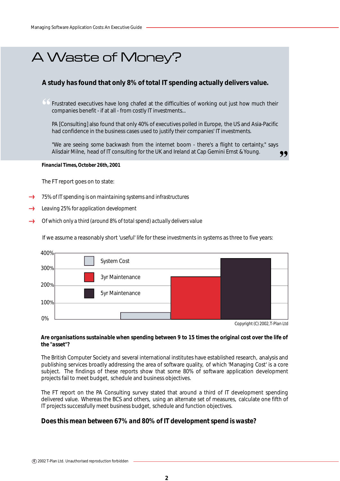# A Waste of Money?

## **A study has found that only 8% of total IT spending actually delivers value.**

CC Frustrated executives have long chafed at the difficulties of working out just how much their companies benefit - if at all - from costly IT investments...

PA [Consulting] also found that only 40% of executives polled in Europe, the US and Asia-Pacific had confidence in the business cases used to justify their companies' IT investments.

"We are seeing some backwash from the internet boom - there's a flight to certainty," says Alisdair Milne, head of IT consulting for the UK and Ireland at Cap Gemini Ernst & Young.

#### *Financial Times, October 26th, 2001*

The FT report goes on to state:

- *75% of IT spending is on maintaining systems and infrastructures*
- *Leaving 25% for application development*
- *Of which only a third (around 8% of total spend) actually delivers value*

If we assume a reasonably short 'useful' life for these investments in systems as three to five years:



*Copyright (C) 2002, T-Plan Ltd*

,,

### *Are organisations sustainable when spending between 9 to 15 times the original cost over the life of the "asset"?*

The British Computer Society and several international institutes have established research, analysis and publishing services broadly addressing the area of software quality, of which 'Managing Cost' is a core subject. The findings of these reports show that some 80% of software application development projects fail to meet budget, schedule and business objectives.

The FT report on the PA Consulting survey stated that around a third of IT development spending delivered value. Whereas the BCS and others, using an alternate set of measures, calculate one fifth of IT projects successfully meet business budget, schedule and function objectives.

## *Does this mean between 67% and 80% of IT development spend is waste?*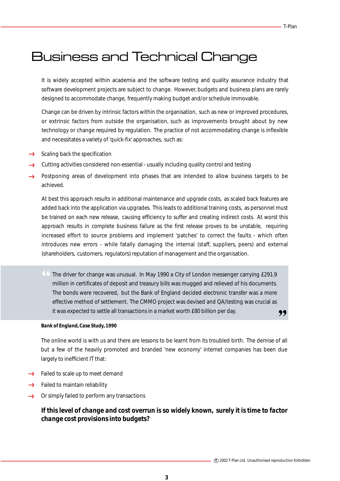# Business and Technical Change

It is widely accepted within academia and the software testing and quality assurance industry that software development projects are subject to change. However, budgets and business plans are rarely designed to accommodate change, frequently making budget and/or schedule immovable.

Change can be driven by intrinsic factors within the organisation, such as new or improved procedures, or extrinsic factors from outside the organisation, such as improvements brought about by new technology or change required by regulation. The practice of not accommodating change is inflexible and necessitates a variety of 'quick-fix' approaches, such as:

- $\rightarrow$  Scaling back the specification
- Cutting activities considered non-essential usually including quality control and testing
- Postponing areas of development into phases that are intended to allow business targets to be achieved.

At best this approach results in additional maintenance and upgrade costs, as scaled back features are added back into the application via upgrades. This leads to additional training costs, as personnel must be trained on each new release, causing efficiency to suffer and creating indirect costs. At worst this approach results in complete business failure as the first release proves to be unstable, requiring increased effort to source problems and implement 'patches' to correct the faults - which often introduces new errors - while fatally damaging the internal (staff, suppliers, peers) and external (shareholders, customers, regulators) reputation of management and the organisation.

" The driver for change was unusual. In May 1990 a City of London messenger carrying £291.9 " million in certificates of deposit and treasury bills was mugged and relieved of his documents. The bonds were recovered, but the Bank of England decided electronic transfer was a more effective method of settlement. The CMMO project was devised and QA/testing was crucial as it was expected to settle all transactions in a market worth £80 billion per day.

#### *Bank of England, Case Study, 1990*

The online world is with us and there are lessons to be learnt from its troubled birth. The demise of all but a few of the heavily promoted and branded 'new economy' internet companies has been due largely to inefficient IT that:

- $\rightarrow$  Failed to scale up to meet demand
- $\rightarrow$  Failed to maintain reliability
- Or simply failed to perform any transactions from

## *If this level of change and cost overrun is so widely known, surely it is time to factor change cost provisions into budgets?*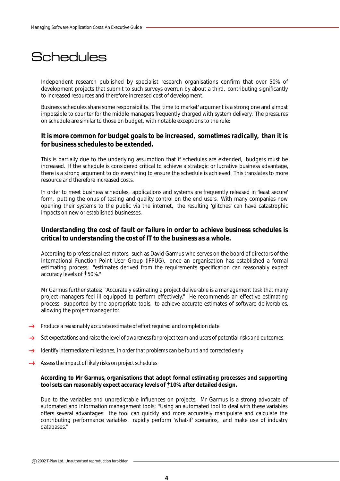# **Schedules**

Independent research published by specialist research organisations confirm that over 50% of development projects that submit to such surveys overrun by about a third, contributing significantly to increased resources and therefore increased cost of development.

Business schedules share some responsibility. The 'time to market' argument is a strong one and almost impossible to counter for the middle managers frequently charged with system delivery. The pressures on schedule are similar to those on budget, with notable exceptions to the rule:

## *It is more common for budget goals to be increased, sometimes radically, than it is for business schedules to be extended.*

This is partially due to the underlying assumption that if schedules are extended, budgets must be increased. If the schedule is considered critical to achieve a strategic or lucrative business advantage, there is a strong argument to do everything to ensure the schedule is achieved. This translates to more resource and therefore increased costs.

In order to meet business schedules, applications and systems are frequently released in 'least secure' form, putting the onus of testing and quality control on the end users. With many companies now opening their systems to the public via the internet, the resulting 'glitches' can have catastrophic impacts on new or established businesses.

## *Understanding the cost of fault or failure in order to achieve business schedules is critical to understanding the cost of IT to the business as a whole.*

According to professional estimators, such as David Garmus who serves on the board of directors of the International Function Point User Group (IFPUG), once an organisation has established a formal estimating process; "estimates derived from the requirements specification can reasonably expect accuracy levels of  $±$  50%."

Mr Garmus further states; "Accurately estimating a project deliverable is a management task that many project managers feel ill equipped to perform effectively." He recommends an effective estimating process, supported by the appropriate tools, to achieve accurate estimates of software deliverables, allowing the project manager to:

- **Produce a reasonably accurate estimate of effort required and completion date**
- *Set expectations and raise the level of awareness for project team and users of potential risks and outcomes*
- *Identify intermediate milestones, in order that problems can be found and corrected early*
- *Assess the impact of likely risks on project schedules*  $\longrightarrow$

### **According to Mr Garmus, organisations that adopt formal estimating processes and supporting**  tool sets can reasonably expect accuracy levels of  $\pm$ 10% after detailed design.

Due to the variables and unpredictable influences on projects, Mr Garmus is a strong advocate of automated and information management tools; "Using an automated tool to deal with these variables offers several advantages: the tool can quickly and more accurately manipulate and calculate the contributing performance variables, rapidly perform 'what-if' scenarios, and make use of industry databases."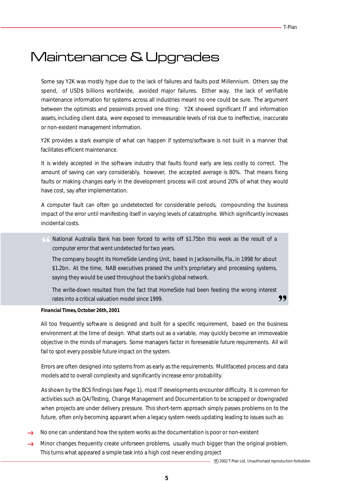# Maintenance & Upgrades

Some say Y2K was mostly hype due to the lack of failures and faults post Millennium. Others say the spend, of USD\$ billions worldwide, avoided major failures. Either way, the lack of verifiable maintenance information for systems across all industries meant no one could be sure. The argument between the optimists and pessimists proved one thing: Y2K showed significant IT and information assets, including client data, were exposed to immeasurable levels of risk due to ineffective, inaccurate or non-existent management information.

Y2K provides a stark example of what can happen if systems/software is not built in a manner that facilitates efficient maintenance.

It is widely accepted in the software industry that faults found early are less costly to correct. The amount of saving can vary considerably, however, the accepted average is 80%. That means fixing faults or making changes early in the development process will cost around 20% of what they would have cost, say after implementation.

A computer fault can often go undetetected for considerable periods, compounding the business impact of the error until manifesting itself in varying levels of catastrophe. Which significantly increases incidental costs.

" National Australia Bank has been forced to write off \$1.75bn this week as the result of a computer error that went undetected for two years.

The company bought its HomeSide Lending Unit, based in Jacksonville, Fla., in 1998 for about \$1.2bn. At the time, NAB executives praised the unit's proprietary and processing systems, saying they would be used throughout the bank's global network.

,, The write-down resulted from the fact that HomeSide had been feeding the wrong interest rates into a critical valuation model since 1999.

### *Financial Times, October 26th, 2001*

All too frequently software is designed and built for a specific requirement, based on the business environment at the time of design. What starts out as a variable, may quickly become an immoveable objective in the minds of managers. Some managers factor in foreseeable future requirements. All will fail to spot every possible future impact on the system.

Errors are often designed into systems from as early as the requirements. Mulitfaceted process and data models add to overall complexity and significantly increase error probability.

As shown by the BCS findings (see Page 1), most IT developments encounter difficulty. It is common for activities such as QA/Testing, Change Management and Documentation to be scrapped or downgraded when projects are under delivery pressure. This short-term approach simply passes problems on to the future, often only becoming apparant when a legacy system needs updating leading to issues such as:

- No one can understand how the system works as the documentation is poor or non-existent
- Minor changes frequently create unforseen problems, usually much bigger than the original problem.  $rac{1}{2}$ This turns what appeared a simple task into a high cost never ending project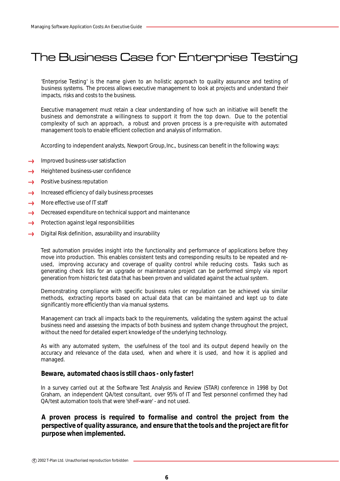# The Business Case for Enterprise Testing

'Enterprise Testing' is the name given to an holistic approach to quality assurance and testing of business systems. The process allows executive management to look at projects and understand their impacts, risks and costs to the business.

Executive management must retain a clear understanding of how such an initiative will benefit the business and demonstrate a willingness to support it from the top down. Due to the potential complexity of such an approach, a robust and proven process is a pre-requisite with automated management tools to enable efficient collection and analysis of information.

According to independent analysts, Newport Group, Inc., business can benefit in the following ways:

- Improved business-user satisfaction **Loose**
- Heightened business-user confidence
- **Loon** Positive business reputation
- Increased efficiency of daily business processes أأأتسم
- More effective use of IT staff **Louis**
- Decreased expenditure on technical support and maintenance  $\ell$
- <u>er</u> Protection against legal responsibilities
- Digital Risk definition, assurability and insurability f.....

Test automation provides insight into the functionality and performance of applications before they move into production. This enables consistent tests and corresponding results to be repeated and reused, improving accuracy and coverage of quality control while reducing costs. Tasks such as generating check lists for an upgrade or maintenance project can be performed simply via report generation from historic test data that has been proven and validated against the actual system.

Demonstrating compliance with specific business rules or regulation can be achieved via similar methods, extracting reports based on actual data that can be maintained and kept up to date significantly more efficiently than via manual systems.

Management can track all impacts back to the requirements, validating the system against the actual business need and assessing the impacts of both business and system change throughout the project, without the need for detailed expert knowledge of the underlying technology.

As with any automated system, the usefulness of the tool and its output depend heavily on the accuracy and relevance of the data used, when and where it is used, and how it is applied and managed.

## *Beware, automated chaos is still chaos - only faster!*

In a survey carried out at the Software Test Analysis and Review (STAR) conference in 1998 by Dot Graham, an independent QA/test consultant, over 95% of IT and Test personnel confirmed they had QA/test automation tools that were 'shelf-ware' - and not used.

## *A proven process is required to formalise and control the project from the perspective of quality assurance, and ensure that the tools and the project are fit for purpose when implemented.*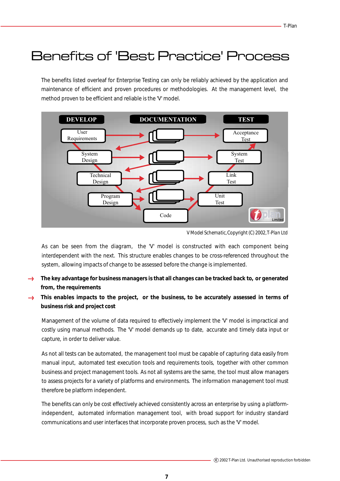# Benefits of 'Best Practice' Process

The benefits listed overleaf for Enterprise Testing can only be reliably achieved by the application and maintenance of efficient and proven procedures or methodologies. At the management level, the method proven to be efficient and reliable is the 'V' model.



*V Model Schematic, Copyright (C) 2002, T-Plan Ltd*

As can be seen from the diagram, the 'V' model is constructed with each component being interdependent with the next. This structure enables changes to be cross-referenced throughout the system, allowing impacts of change to be assessed before the change is implemented.

- **The key advantage for business managers is that all changes can be tracked back to, or generated from, the requirements**
- **This enables impacts to the project, or the business, to be accurately assessed in terms of**  from **business risk and project cost**

Management of the volume of data required to effectively implement the 'V' model is impractical and costly using manual methods. The 'V' model demands up to date, accurate and timely data input or capture, in order to deliver value.

As not all tests can be automated, the management tool must be capable of capturing data easily from manual input, automated test execution tools and requirements tools, together with other common business and project management tools. As not all systems are the same, the tool must allow managers to assess projects for a variety of platforms and environments. The information management tool must therefore be platform independent.

The benefits can only be cost effectively achieved consistently across an enterprise by using a platformindependent, automated information management tool, with broad support for industry standard communications and user interfaces that incorporate proven process, such as the 'V' model.

**7**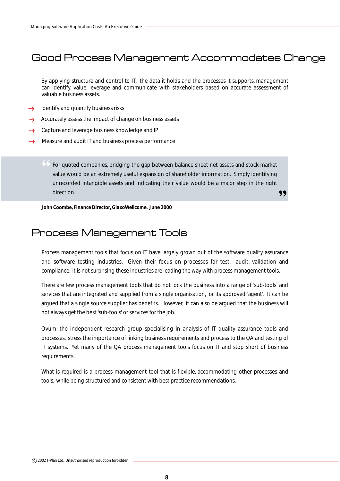# Good Process Management Accommodates Change

By applying structure and control to IT, the data it holds and the processes it supports, management can identify, value, leverage and communicate with stakeholders based on accurate assessment of valuable business assets.

- Identify and quantify business risks
- Accurately assess the impact of change on business assets  $\mathcal{L}_{\text{cross}}$
- → Capture and leverage business knowledge and IP
- $\longrightarrow$ Measure and audit IT and business process performance

" 99 For quoted companies, bridging the gap between balance sheet net assets and stock market value would be an extremely useful expansion of shareholder information. Simply identifying unrecorded intangible assets and indicating their value would be a major step in the right direction.

*John Coombe, Finance Director, GlaxoWellcome. June 2000*

# Process Management Tools

Process management tools that focus on IT have largely grown out of the software quality assurance and software testing industries. Given their focus on processes for test, audit, validation and compliance, it is not surprising these industries are leading the way with process management tools.

There are few process management tools that do not lock the business into a range of 'sub-tools' and services that are integrated and supplied from a single organisation, or its approved 'agent'. It can be argued that a single source supplier has benefits. However, it can also be argued that the business will not always get the best 'sub-tools' or services for the job.

Ovum, the independent research group specialising in analysis of IT quality assurance tools and processes, stress the importance of linking business requirements and process to the QA and testing of IT systems. Yet many of the QA process management tools focus on IT and stop short of business requirements.

What is required is a process management tool that is flexible, accommodating other processes and tools, while being structured and consistent with best practice recommendations.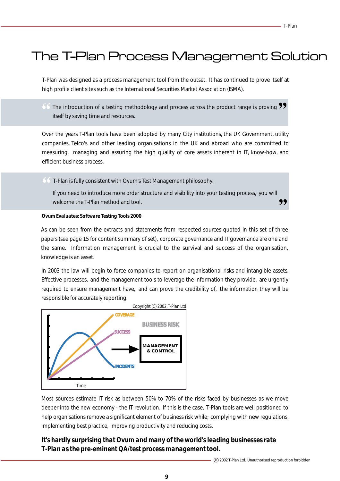# The T-Plan Process Management Solution Solution Solution Solution Solution Solution Solution

T-Plan was designed as a process management tool from the outset. It has continued to prove itself at high profile client sites such as the International Securities Market Association (ISMA).

 $\overline{\bullet}$  The introduction of a testing methodology and process across the product range is proving  $\overline{\bullet}$  itself by saving time and resources. itself by saving time and resources.

Over the years T-Plan tools have been adopted by many City institutions, the UK Government, utility companies, Telco's and other leading organisations in the UK and abroad who are committed to measuring, managing and assuring the high quality of core assets inherent in IT, know-how, and efficient business process.

" T-Plan is fully consistent with Ovum's Test Management philosophy.

,, If you need to introduce more order structure and visibility into your testing process, you will welcome the T-Plan method and tool.

### *Ovum Evaluates: Software Testing Tools 2000*

As can be seen from the extracts and statements from respected sources quoted in this set of three papers (see page 15 for content summary of set), corporate governance and IT governance are one and the same. Information management is crucial to the survival and success of the organisation, knowledge is an asset.

In 2003 the law will begin to force companies to report on organisational risks and intangible assets. Effective processes, and the management tools to leverage the information they provide, are urgently required to ensure management have, and can prove the credibility of, the information they will be responsible for accurately reporting.



Most sources estimate IT risk as between 50% to 70% of the risks faced by businesses as we move deeper into the new economy - the IT revolution. If this is the case, T-Plan tools are well positioned to help organisations remove a significant element of business risk while; complying with new regulations, implementing best practice, improving productivity and reducing costs.

# *It's hardly surprising that Ovum and many of the world's leading businesses rate T-Plan as the pre-eminent QA/test process management tool.*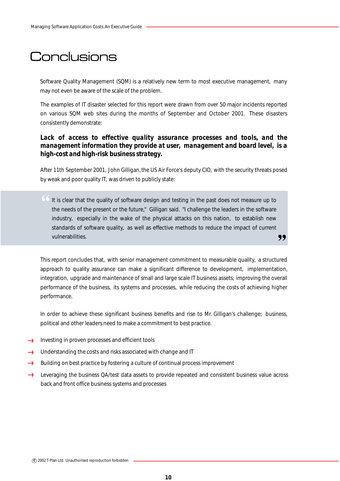# **Conclusions**

Software Quality Management (SQM) is a relatively new term to most executive management, many may not even be aware of the scale of the problem.

The examples of IT disaster selected for this report were drawn from over 50 major incidents reported on various SQM web sites during the months of September and October 2001. These disasters consistently demonstrate:

## Lack of access to effective quality assurance processes and tools, and the *management information they provide at user, management and board level, is a high-cost and high-risk business strategy.*

After 11th September 2001, John Gilligan, the US Air Force's deputy CIO, with the security threats posed by weak and poor quality IT, was driven to publicly state:

" It is clear that the quality of software design and testing in the past does not measure up to ,, the needs of the present or the future," Gilligan said. "I challenge the leaders in the software industry, especially in the wake of the physical attacks on this nation, to establish new standards of software quality, as well as effective methods to reduce the impact of current vulnerabilities.

This report concludes that, with senior management commitment to measurable quality, a structured approach to quality assurance can make a significant difference to development, implementation, integration, upgrade and maintenance of small and large scale IT business assets; improving the overall performance of the business, its systems and processes, while reducing the costs of achieving higher performance.

In order to achieve these significant business benefits and rise to Mr. Gilligan's challenge; business, political and other leaders need to make a commitment to best practice.

- **Investing in proven processes and efficient tools**
- $\rightarrow$  Understanding the costs and risks associated with change and IT
- Building on best practice by fostering a culture of continual process improvement  $\epsilon$
- $rac{1}{2}$ Leveraging the business QA/test data assets to provide repeated and consistent business value across back and front office business systems and processes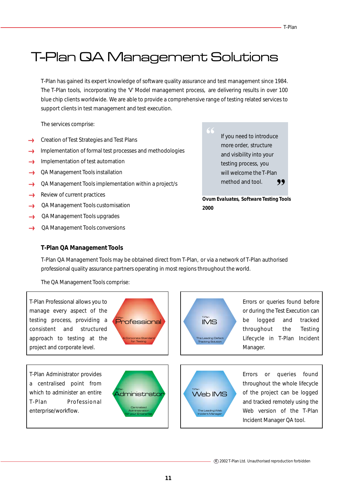T-Plan has gained its expert knowledge of software quality assurance and test management since 1984. The T-Plan tools, incorporating the 'V' Model management process, are delivering results in over 100 blue chip clients worldwide. We are able to provide a comprehensive range of testing related services to support clients in test management and test execution.

The services comprise:

- Creation of Test Strategies and Test Plans
- Implementation of formal test processes and methodologies لمأممه
- Implementation of test automation  $\epsilon$
- QA Management Tools installation  $\longrightarrow$
- QA Management Tools implementation within a project/s .....}
- Review of current practices  $f_{\text{conv}}$
- QA Management Tools customisation **Loone**
- QA Management Tools upgrades  $\epsilon$
- QA Management Tools conversions ......

" ,, If you need to introduce more order, structure and visibility into your testing process, you will welcome the T-Plan method and tool.

*Ovum Evaluates, Software Testing Tools 2000*

## **T-Plan QA Management Tools**

T-Plan QA Management Tools may be obtained direct from T-Plan, or via a network of T-Plan authorised professional quality assurance partners operating in most regions throughout the world.

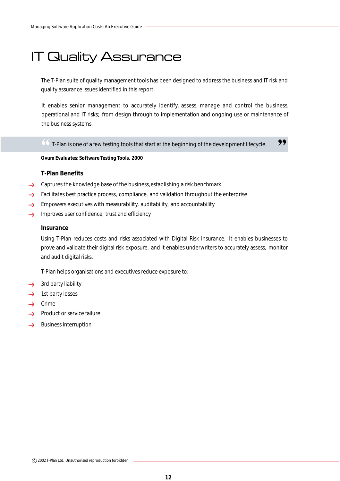# IT Quality Assurance

The T-Plan suite of quality management tools has been designed to address the business and IT risk and quality assurance issues identified in this report.

It enables senior management to accurately identify, assess, manage and control the business, operational and IT risks; from design through to implementation and ongoing use or maintenance of the business systems.

 $\begin{array}{c} \textcircled{\small 66} \\ \textcircled{\small 7-Plan is one of a few testing tools that start at the beginning of the development lifecycle.} \end{array}$ 

*Ovum Evaluates: Software Testing Tools, 2000*

## **T-Plan Benefits**

- Captures the knowledge base of the business, establishing a risk benchmark
- Facilitates best practice process, compliance, and validation throughout the enterprise  $\mathcal{L}_{\text{coon}}$
- Empowers executives with measurability, auditability, and accountability **Loose**
- <u>elman</u> Improves user confidence, trust and efficiency

### **Insurance**

Using T-Plan reduces costs and risks associated with Digital Risk insurance. It enables businesses to prove and validate their digital risk exposure, and it enables underwriters to accurately assess, monitor and audit digital risks.

T-Plan helps organisations and executives reduce exposure to:

- 3rd party liability
- 1st party losses  $\mathcal{L}_{\text{cooro}}$
- → Crime
- Product or service failure **Loom**
- Business interruption $\rightarrow$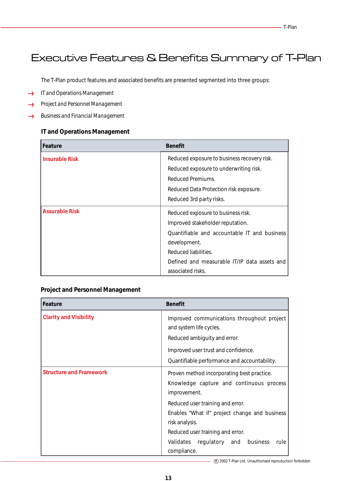# Executive Features & Benefits Summary of T-Plan

The T-Plan product features and associated benefits are presented segmented into three groups:

- *IT and Operations Management*  $\rightarrow$
- *Project and Personnel Management*  $\longrightarrow$
- *Business and Financial Management*  $...$

## **IT and Operations Management**

| Feature               | <b>Benefit</b>                               |
|-----------------------|----------------------------------------------|
| <b>Insurable Risk</b> | Reduced exposure to business recovery risk.  |
|                       | Reduced exposure to underwriting risk.       |
|                       | Reduced Premiums.                            |
|                       | Reduced Data Protection risk exposure.       |
|                       | Reduced 3rd party risks.                     |
| <b>Assurable Risk</b> | Reduced exposure to business risk.           |
|                       | Improved stakeholder reputation.             |
|                       | Quantifiable and accountable IT and business |
|                       | development.                                 |
|                       | Reduced liabilities.                         |
|                       | Defined and measurable IT/IP data assets and |
|                       | associated risks.                            |

## **Project and Personnel Management**

| l Feature                      | <b>Benefit</b>                                                        |
|--------------------------------|-----------------------------------------------------------------------|
| <b>Clarity and Visibility</b>  | Improved communications throughout project<br>and system life cycles. |
|                                | Reduced ambiguity and error.                                          |
|                                | Improved user trust and confidence.                                   |
|                                | Quantifiable performance and accountability.                          |
| <b>Structure and Framework</b> | Proven method incorporating best practice.                            |
|                                | Knowledge capture and continuous process<br>improvement.              |
|                                | Reduced user training and error.                                      |
|                                | Enables "What if" project change and business                         |
|                                | risk analysis.                                                        |
|                                | Reduced user training and error.                                      |
|                                | Validates regulatory and business<br>rule                             |
|                                | compliance.                                                           |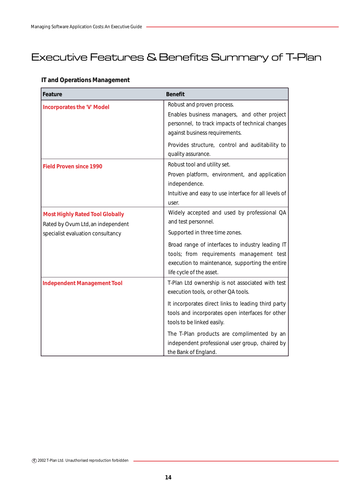# Executive Features & Benefits Summary of T-Plan

# **IT and Operations Management**

| Feature                                | <b>Benefit</b>                                        |
|----------------------------------------|-------------------------------------------------------|
| <b>Incorporates the 'V' Model</b>      | Robust and proven process.                            |
|                                        | Enables business managers, and other project          |
|                                        | personnel, to track impacts of technical changes      |
|                                        | against business requirements.                        |
|                                        | Provides structure, control and auditability to       |
|                                        | quality assurance.                                    |
| <b>Field Proven since 1990</b>         | Robust tool and utility set.                          |
|                                        | Proven platform, environment, and application         |
|                                        | independence.                                         |
|                                        | Intuitive and easy to use interface for all levels of |
|                                        | user.                                                 |
| <b>Most Highly Rated Tool Globally</b> | Widely accepted and used by professional QA           |
| Rated by Ovum Ltd, an independent      | and test personnel.                                   |
| specialist evaluation consultancy      | Supported in three time zones.                        |
|                                        | Broad range of interfaces to industry leading IT      |
|                                        | tools; from requirements management test              |
|                                        | execution to maintenance, supporting the entire       |
|                                        | life cycle of the asset.                              |
| <b>Independent Management Tool</b>     | T-Plan Ltd ownership is not associated with test      |
|                                        | execution tools, or other QA tools.                   |
|                                        | It incorporates direct links to leading third party   |
|                                        | tools and incorporates open interfaces for other      |
|                                        | tools to be linked easily.                            |
|                                        | The T-Plan products are complimented by an            |
|                                        | independent professional user group, chaired by       |
|                                        | the Bank of England.                                  |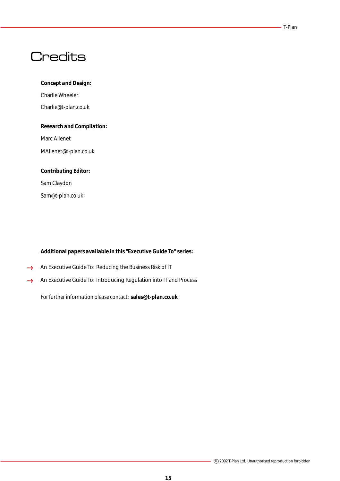#### T-Plan

# **Credits**

### *Concept and Design:*

Charlie Wheeler Charlie@t-plan.co.uk

### *Research and Compilation:*

Marc Allenet

MAllenet@t-plan.co.uk

# *Contributing Editor:*

Sam Claydon Sam@t-plan.co.uk

## *Additional papers available in this "Executive Guide To" series:*

- An Executive Guide To: Reducing the Business Risk of IT  $\rightarrow$
- An Executive Guide To: Introducing Regulation into IT and Process  $\longleftrightarrow$

*For further information please contact:* **sales@t-plan.co.uk**